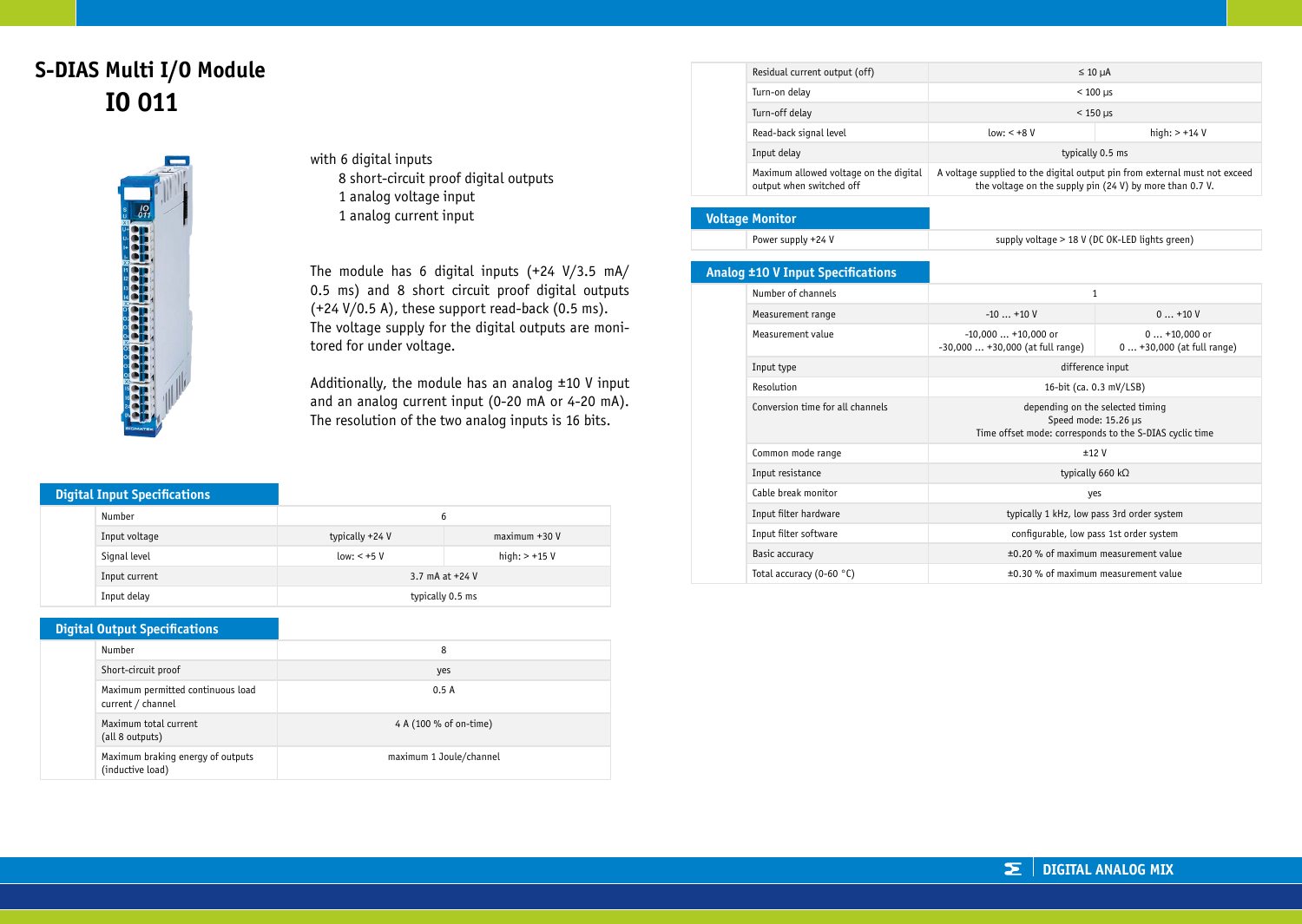# **S-DIAS Multi I/O Module IO 011**



with 6 digital inputs 8 short-circuit proof digital outputs 1 analog voltage input 1 analog current input

The module has 6 digital inputs (+24 V/3.5 mA/ 0.5 ms) and 8 short circuit proof digital outputs  $(+24 V/0.5 A)$ , these support read-back (0.5 ms). The voltage supply for the digital outputs are monitored for under voltage.

Additionally, the module has an analog  $\pm 10$  V input and an analog current input (0-20 mA or 4-20 mA). The resolution of the two analog inputs is 16 bits.

## **Digital Input Specifications**

|  | Number        | 6                 |                 |
|--|---------------|-------------------|-----------------|
|  | Input voltage | typically +24 V   | $maximum +30 V$ |
|  | Signal level  | $low: < +5V$      | high: $> +15$ V |
|  | Input current | 3.7 mA at $+24$ V |                 |
|  | Input delay   | typically 0.5 ms  |                 |

## **Digital Output Specifications**

|  | Number                                                 | 8                       |
|--|--------------------------------------------------------|-------------------------|
|  | Short-circuit proof                                    | yes                     |
|  | Maximum permitted continuous load<br>current / channel | 0.5A                    |
|  | Maximum total current<br>(all 8 outputs)               | 4 A (100 % of on-time)  |
|  | Maximum braking energy of outputs<br>(inductive load)  | maximum 1 Joule/channel |

| Residual current output (off)                                      | $\leq 10$ uA                                                                                                                           |                 |
|--------------------------------------------------------------------|----------------------------------------------------------------------------------------------------------------------------------------|-----------------|
| Turn-on delay                                                      | $< 100$ us                                                                                                                             |                 |
| Turn-off delay                                                     | $<$ 150 us                                                                                                                             |                 |
| Read-back signal level                                             | $low: < +8 V$                                                                                                                          | high: $> +14$ V |
| Input delay                                                        | typically 0.5 ms                                                                                                                       |                 |
| Maximum allowed voltage on the digital<br>output when switched off | A voltage supplied to the digital output pin from external must not exceed<br>the voltage on the supply pin (24 V) by more than 0.7 V. |                 |

| <b>Voltage Monitor</b> |                    |                                                |
|------------------------|--------------------|------------------------------------------------|
|                        | Power supply +24 V | supply voltage > 18 V (DC OK-LED lights green) |

# **Analog ±10 V Input Specifications**

| Number of channels                | $\mathbf{1}$                                                                                                        |                                             |
|-----------------------------------|---------------------------------------------------------------------------------------------------------------------|---------------------------------------------|
| Measurement range                 | $-10$ $+10$ V                                                                                                       | $0+10V$                                     |
| Measurement value                 | $-10,000+10,000$ or<br>$-30,000+30,000$ (at full range)                                                             | $0+10,000$ or<br>$0+30,000$ (at full range) |
| Input type                        | difference input                                                                                                    |                                             |
| Resolution                        | 16-bit (ca. 0.3 mV/LSB)                                                                                             |                                             |
| Conversion time for all channels  | depending on the selected timing<br>Speed mode: 15.26 µs<br>Time offset mode: corresponds to the S-DIAS cyclic time |                                             |
| Common mode range                 | ±12V                                                                                                                |                                             |
| Input resistance                  | typically 660 k $\Omega$                                                                                            |                                             |
| Cable break monitor               | yes                                                                                                                 |                                             |
| Input filter hardware             | typically 1 kHz, low pass 3rd order system                                                                          |                                             |
| Input filter software             | configurable, low pass 1st order system                                                                             |                                             |
| Basic accuracy                    | ±0.20 % of maximum measurement value                                                                                |                                             |
| Total accuracy (0-60 $\degree$ C) | ±0.30 % of maximum measurement value                                                                                |                                             |